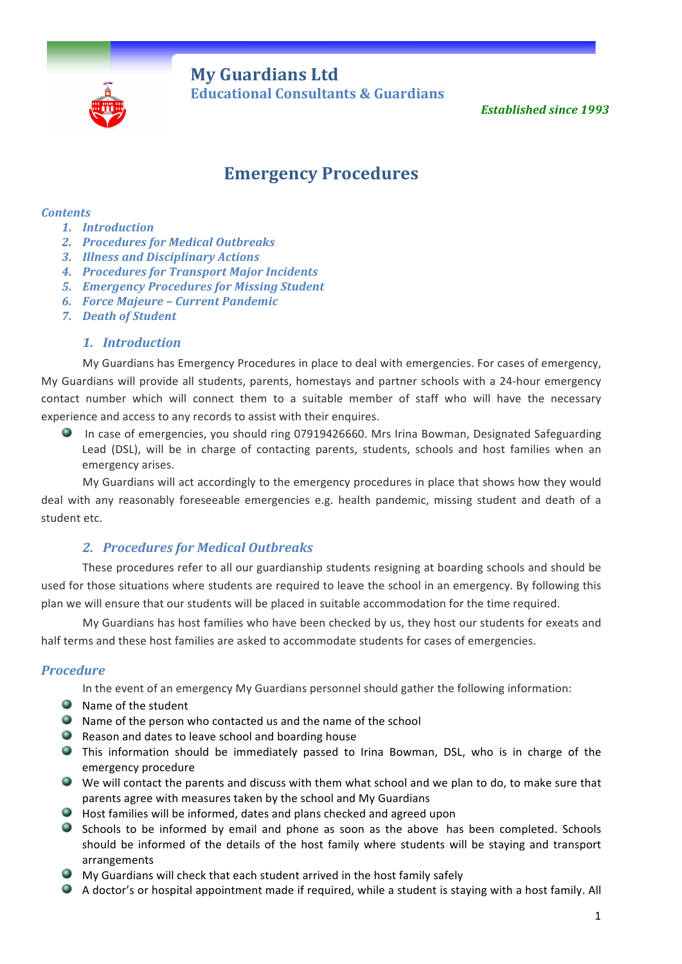

**My Guardians Ltd Educational Consultants & Guardians** 

**Established since 1993** 

# **Emergency Procedures**

#### *Contents*

- *1. Introduction*
- **2.** Procedures for Medical Outbreaks
- *3. Illness and Disciplinary Actions*
- **4. Procedures for Transport Major Incidents**
- *5. Emergency Procedures for Missing Student*
- *6. Force Majeure – Current Pandemic*
- *7. Death of Student*

#### *1. Introduction*

My Guardians has Emergency Procedures in place to deal with emergencies. For cases of emergency, My Guardians will provide all students, parents, homestays and partner schools with a 24-hour emergency contact number which will connect them to a suitable member of staff who will have the necessary experience and access to any records to assist with their enquires.

In case of emergencies, you should ring 07919426660. Mrs Irina Bowman, Designated Safeguarding Lead (DSL), will be in charge of contacting parents, students, schools and host families when an emergency arises.

My Guardians will act accordingly to the emergency procedures in place that shows how they would deal with any reasonably foreseeable emergencies e.g. health pandemic, missing student and death of a student etc.

# **2. Procedures for Medical Outbreaks**

These procedures refer to all our guardianship students resigning at boarding schools and should be used for those situations where students are required to leave the school in an emergency. By following this plan we will ensure that our students will be placed in suitable accommodation for the time required.

My Guardians has host families who have been checked by us, they host our students for exeats and half terms and these host families are asked to accommodate students for cases of emergencies.

#### *Procedure*

In the event of an emergency My Guardians personnel should gather the following information:

- Name of the student
- $\bullet$  Name of the person who contacted us and the name of the school
- $\bullet$  Reason and dates to leave school and boarding house
- **This information should be immediately passed to Irina Bowman, DSL, who is in charge of the** emergency procedure
- We will contact the parents and discuss with them what school and we plan to do, to make sure that parents agree with measures taken by the school and My Guardians
- $\bullet$  Host families will be informed, dates and plans checked and agreed upon
- Schools to be informed by email and phone as soon as the above has been completed. Schools should be informed of the details of the host family where students will be staying and transport arrangements
- $\bullet$  My Guardians will check that each student arrived in the host family safely
- A doctor's or hospital appointment made if required, while a student is staying with a host family. All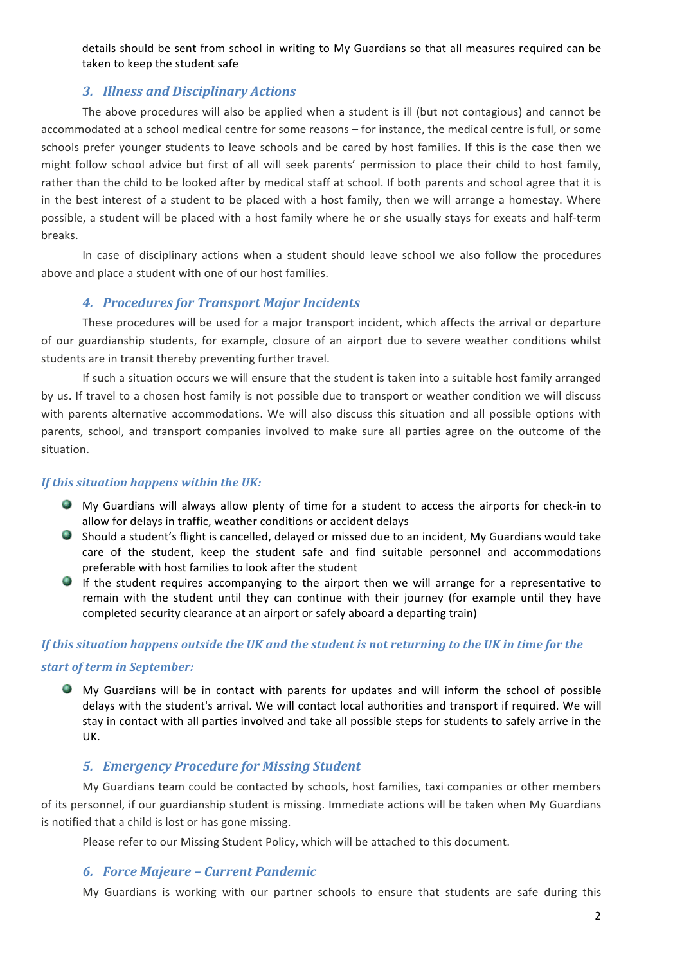details should be sent from school in writing to My Guardians so that all measures required can be taken to keep the student safe

# *3. Illness and Disciplinary Actions*

The above procedures will also be applied when a student is ill (but not contagious) and cannot be accommodated at a school medical centre for some reasons – for instance, the medical centre is full, or some schools prefer younger students to leave schools and be cared by host families. If this is the case then we might follow school advice but first of all will seek parents' permission to place their child to host family, rather than the child to be looked after by medical staff at school. If both parents and school agree that it is in the best interest of a student to be placed with a host family, then we will arrange a homestay. Where possible, a student will be placed with a host family where he or she usually stays for exeats and half-term breaks.

In case of disciplinary actions when a student should leave school we also follow the procedures above and place a student with one of our host families.

# **4. Procedures for Transport Major Incidents**

These procedures will be used for a major transport incident, which affects the arrival or departure of our guardianship students, for example, closure of an airport due to severe weather conditions whilst students are in transit thereby preventing further travel.

If such a situation occurs we will ensure that the student is taken into a suitable host family arranged by us. If travel to a chosen host family is not possible due to transport or weather condition we will discuss with parents alternative accommodations. We will also discuss this situation and all possible options with parents, school, and transport companies involved to make sure all parties agree on the outcome of the situation. 

#### *If this situation happens within the UK:*

- My Guardians will always allow plenty of time for a student to access the airports for check-in to allow for delays in traffic, weather conditions or accident delays
- Should a student's flight is cancelled, delayed or missed due to an incident, My Guardians would take care of the student, keep the student safe and find suitable personnel and accommodations preferable with host families to look after the student
- $\bullet$  If the student requires accompanying to the airport then we will arrange for a representative to remain with the student until they can continue with their journey (for example until they have completed security clearance at an airport or safely aboard a departing train)

# *If* this situation happens outside the UK and the student is not returning to the UK in time for the *start of term in September:*

 $\bullet$  My Guardians will be in contact with parents for updates and will inform the school of possible delays with the student's arrival. We will contact local authorities and transport if required. We will stay in contact with all parties involved and take all possible steps for students to safely arrive in the UK.

# *5. Emergency Procedure for Missing Student*

My Guardians team could be contacted by schools, host families, taxi companies or other members of its personnel, if our guardianship student is missing. Immediate actions will be taken when My Guardians is notified that a child is lost or has gone missing.

Please refer to our Missing Student Policy, which will be attached to this document.

#### *6. Force Majeure – Current Pandemic*

My Guardians is working with our partner schools to ensure that students are safe during this